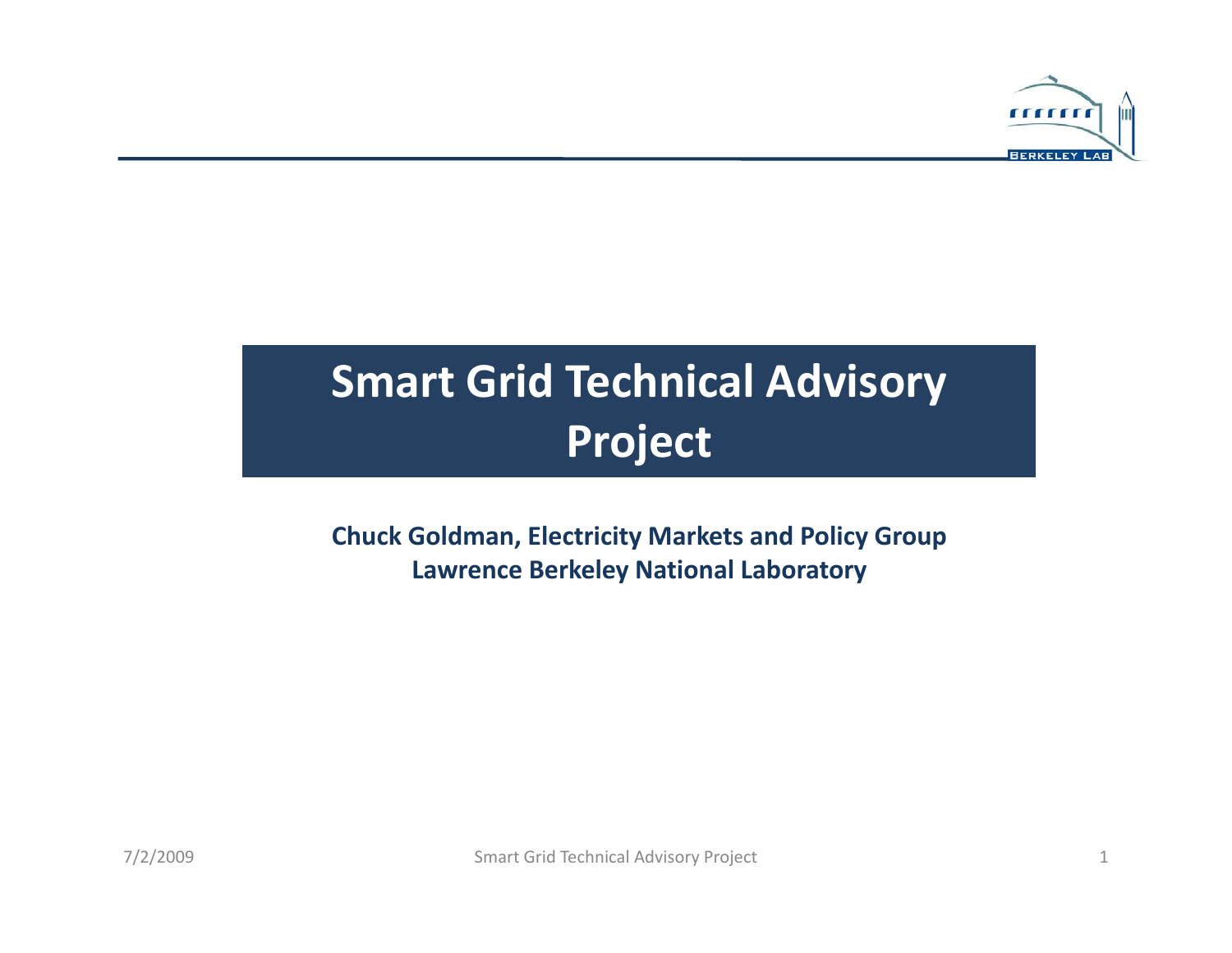

## **Smart Grid Technical Advisory Project**

**Chuck Goldman Goldman, Electricity Markets and Policy Group Lawrence Berkeley National Laboratory**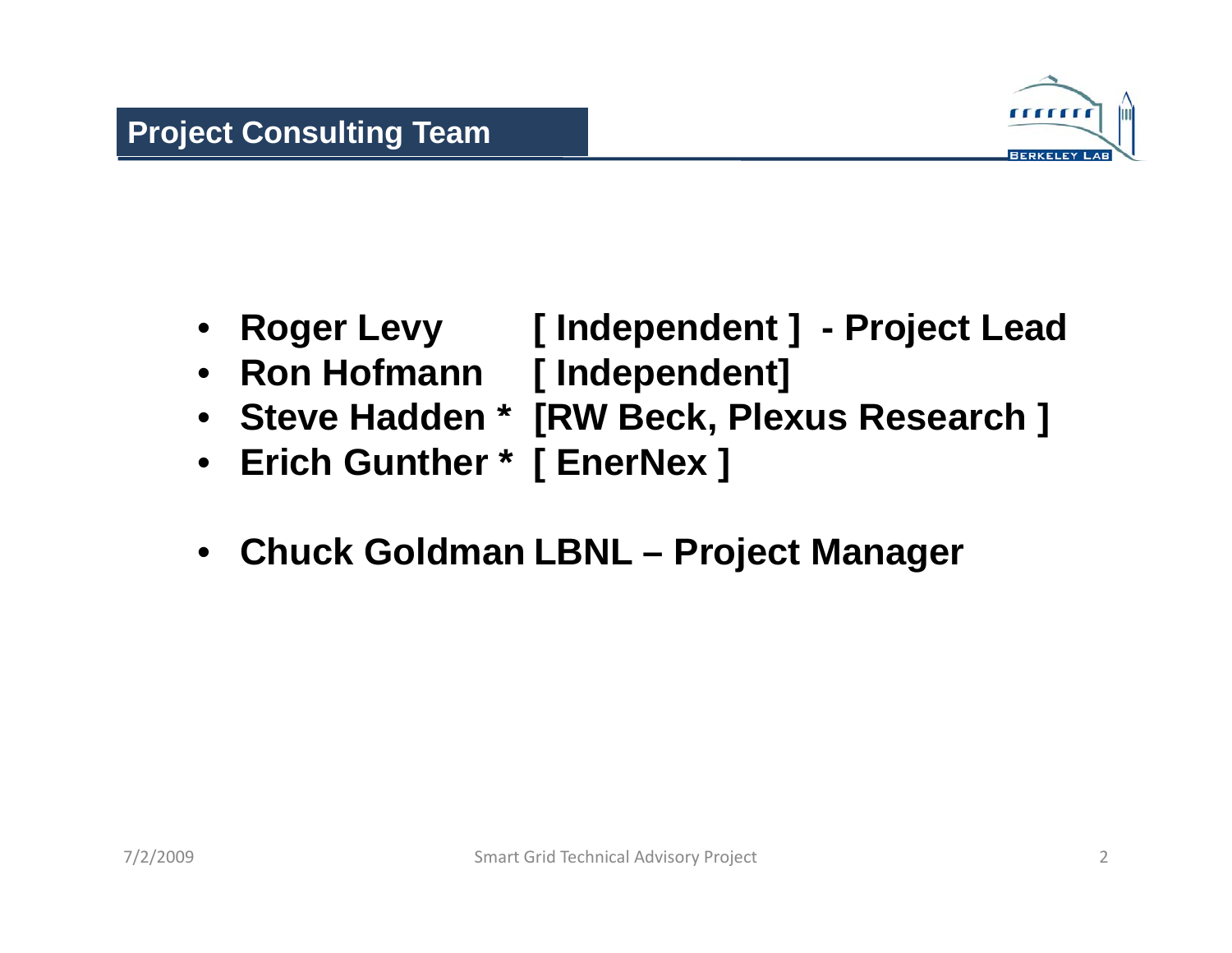

- **Roger Levy [ Independent ] - Project Lead**
- **Ron Hofmann [ Independent]**
- **Steve Hadden \* [RW Beck Plexus Research ] Beck, Plexus ]**
- $\bullet$ **Erich Gunther \* [ EnerNex ]**
- **Chuck Goldman LBNL – Project Manager**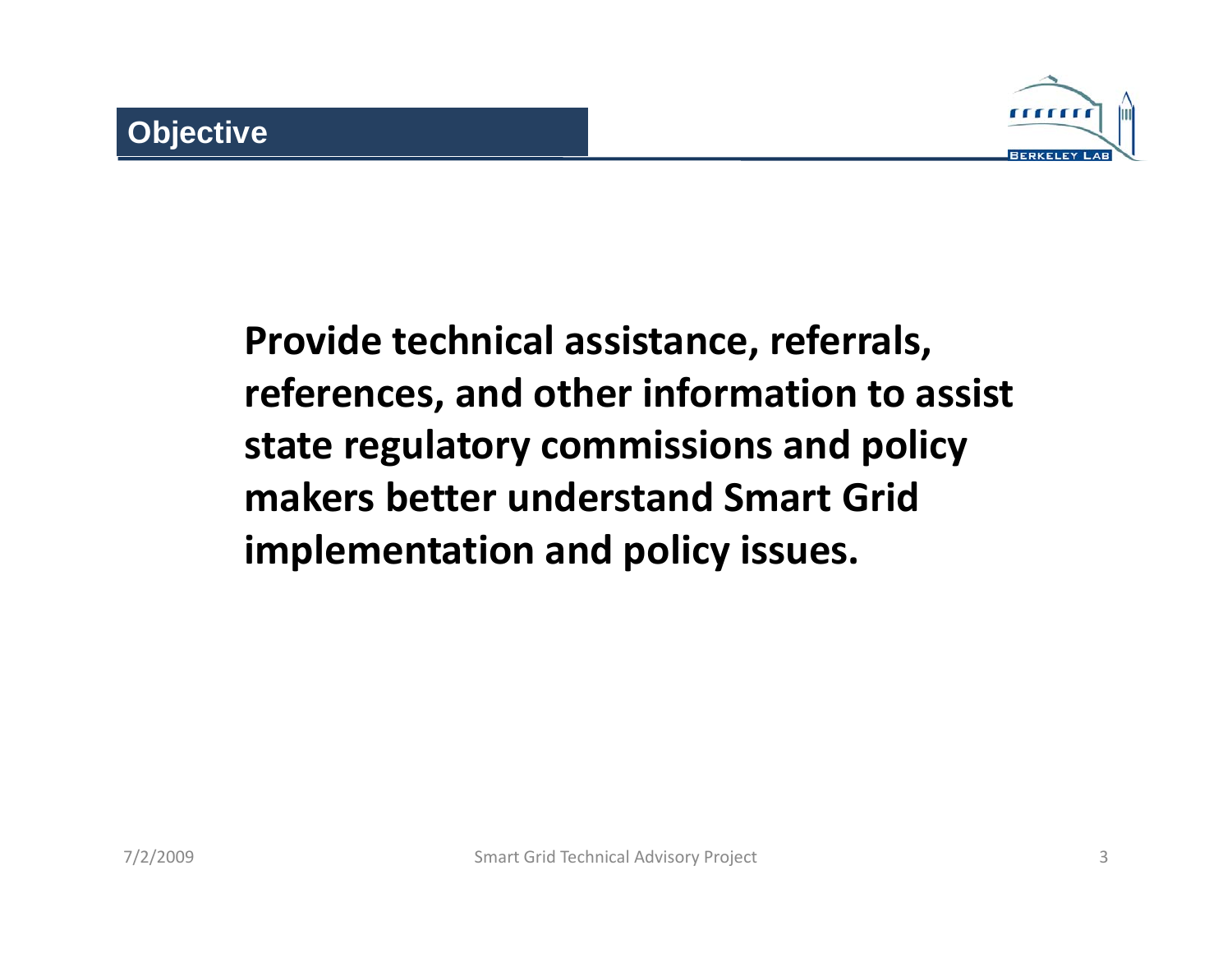

**Provide technical assistance, referrals, references, and other information to assist state regulatory commissions and policy makers better understand Smart Grid implementation and policy issues.**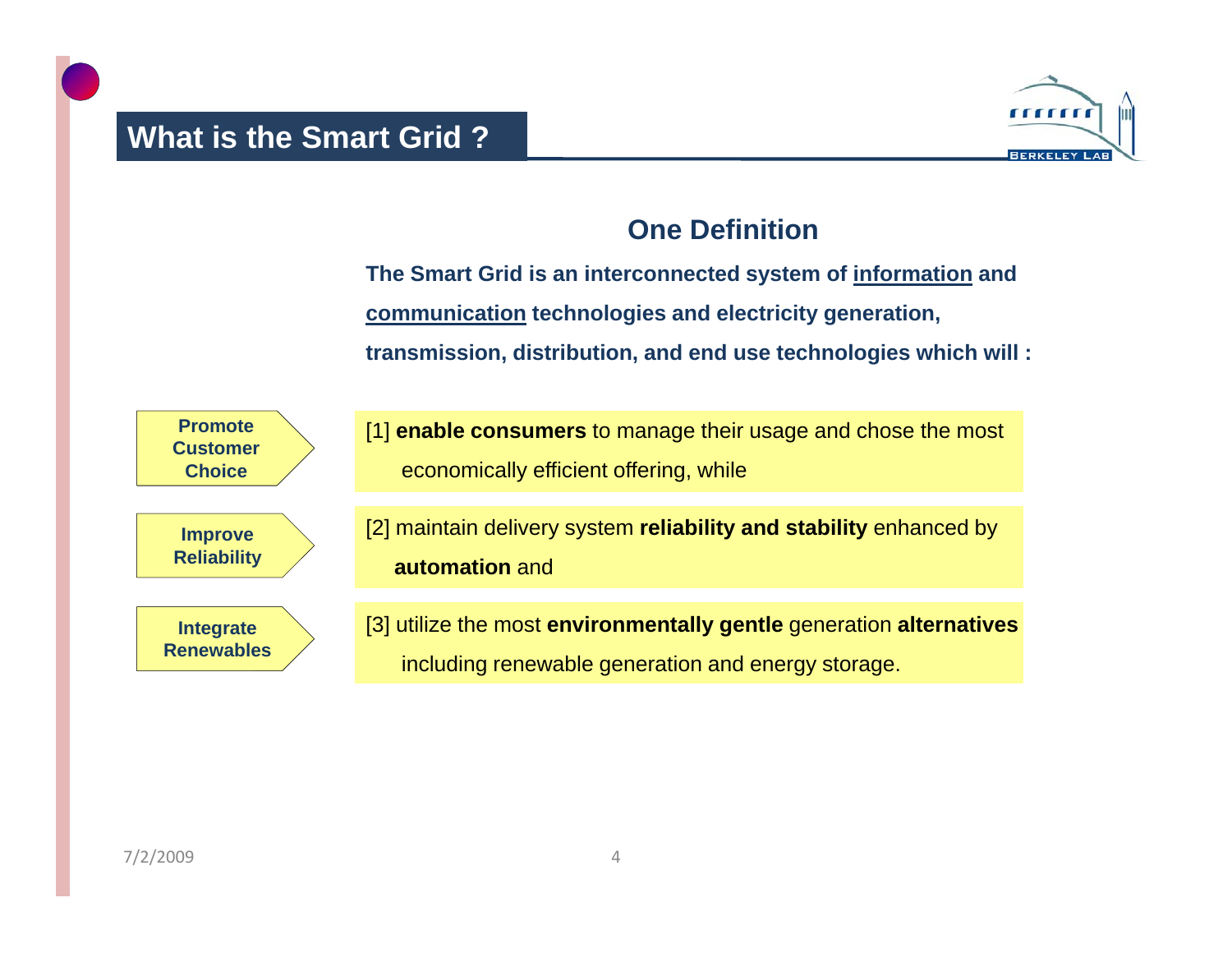

## **One Definition**

**The Smart Grid is an interconnected system of information and communication technologies and electricity generation, transmission, distribution, and end use technologies which will :**